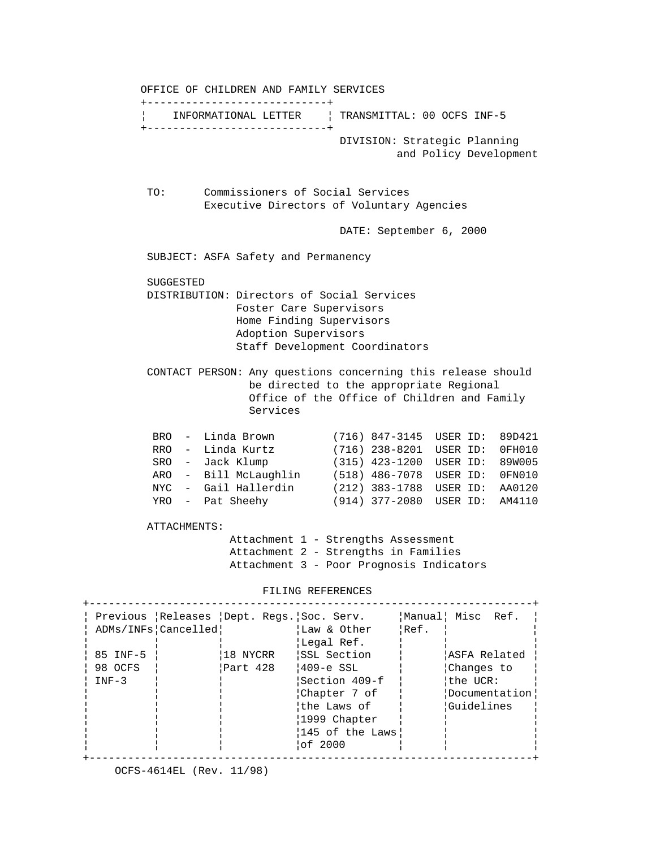OFFICE OF CHILDREN AND FAMILY SERVICES +----------------------------+ ¦ INFORMATIONAL LETTER ¦ TRANSMITTAL: 00 OCFS INF-5 +----------------------------+ DIVISION: Strategic Planning and Policy Development TO: Commissioners of Social Services Executive Directors of Voluntary Agencies DATE: September 6, 2000 SUBJECT: ASFA Safety and Permanency SUGGESTED DISTRIBUTION: Directors of Social Services Foster Care Supervisors Home Finding Supervisors Adoption Supervisors Staff Development Coordinators CONTACT PERSON: Any questions concerning this release should be directed to the appropriate Regional Office of the Office of Children and Family Services BRO - Linda Brown (716) 847-3145 USER ID: 89D421 RRO - Linda Kurtz (716) 238-8201 USER ID: 0FH010 SRO - Jack Klump (315) 423-1200 USER ID: 89W005 ARO - Bill McLaughlin (518) 486-7078 USER ID: 0FN010 NYC - Gail Hallerdin (212) 383-1788 USER ID: AA0120 YRO - Pat Sheehy (914) 377-2080 USER ID: AM4110 ATTACHMENTS: Attachment 1 - Strengths Assessment Attachment 2 - Strengths in Families Attachment 3 - Poor Prognosis Indicators FILING REFERENCES +---------------------------------------------------------------------+ ¦ Previous ¦Releases ¦Dept. Regs.¦Soc. Serv. ¦Manual¦ Misc Ref. ¦ ¦ ADMs/INFs¦Cancelled¦ ¦Law & Other ¦Ref. ¦ ¦ ¦ ¦ ¦ ¦Legal Ref. ¦ ¦ ¦ ¦ 85 INF-5 ¦ ¦18 NYCRR ¦SSL Section ¦ ¦ASFA Related ¦ ¦ 98 OCFS ¦ ¦Part 428 ¦409-e SSL ¦ ¦Changes to ¦ ¦ INF-3 ¦ ¦ ¦Section 409-f ¦ ¦the UCR: ¦ ¦ ¦ ¦ ¦Chapter 7 of ¦ ¦Documentation¦¦ ¦ ¦ ¦ ¦the Laws of ¦ ¦Guidelines ¦ ¦ ¦ ¦ ¦1999 Chapter ¦ ¦ ¦ ¦ ¦ ¦ ¦145 of the Laws¦ ¦ ¦ ¦ ¦ ¦ ¦of 2000 ¦ ¦ ¦ +---------------------------------------------------------------------+

OCFS-4614EL (Rev. 11/98)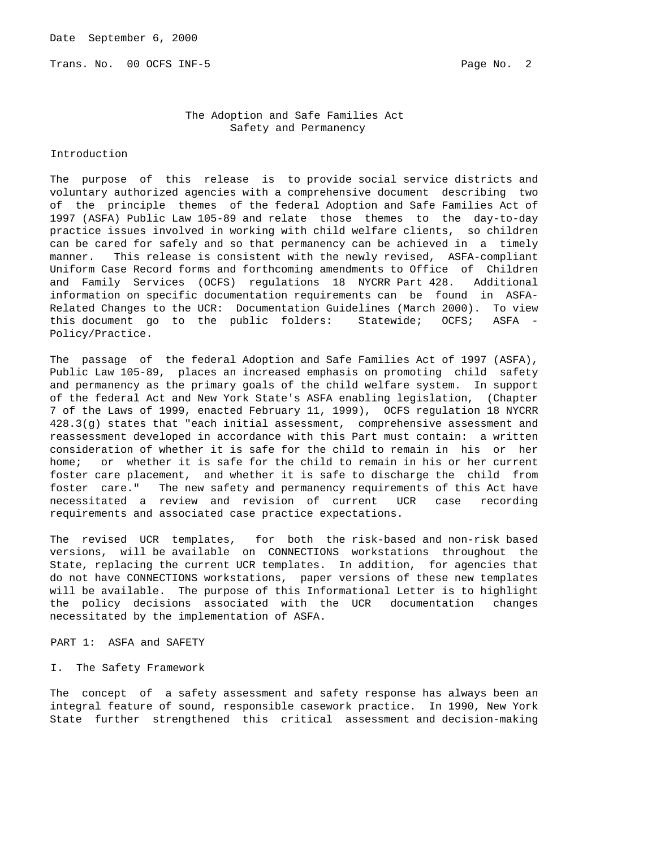Trans. No. 00 OCFS INF-5 **Page No. 2** Page No. 2

 The Adoption and Safe Families Act Safety and Permanency

## Introduction

The purpose of this release is to provide social service districts and voluntary authorized agencies with a comprehensive document describing two of the principle themes of the federal Adoption and Safe Families Act of 1997 (ASFA) Public Law 105-89 and relate those themes to the day-to-day practice issues involved in working with child welfare clients, so children can be cared for safely and so that permanency can be achieved in a timely manner. This release is consistent with the newly revised, ASFA-compliant Uniform Case Record forms and forthcoming amendments to Office of Children and Family Services (OCFS) regulations 18 NYCRR Part 428. Additional information on specific documentation requirements can be found in ASFA-Related Changes to the UCR: Documentation Guidelines (March 2000). To view this document go to the public folders: Statewide; OCFS; ASFA - Policy/Practice.

The passage of the federal Adoption and Safe Families Act of 1997 (ASFA), Public Law 105-89, places an increased emphasis on promoting child safety and permanency as the primary goals of the child welfare system. In support of the federal Act and New York State's ASFA enabling legislation, (Chapter 7 of the Laws of 1999, enacted February 11, 1999), OCFS regulation 18 NYCRR 428.3(g) states that "each initial assessment, comprehensive assessment and reassessment developed in accordance with this Part must contain: a written consideration of whether it is safe for the child to remain in his or her home; or whether it is safe for the child to remain in his or her current foster care placement, and whether it is safe to discharge the child from foster care." The new safety and permanency requirements of this Act have necessitated a review and revision of current UCR case recording requirements and associated case practice expectations.

The revised UCR templates, for both the risk-based and non-risk based versions, will be available on CONNECTIONS workstations throughout the State, replacing the current UCR templates. In addition, for agencies that do not have CONNECTIONS workstations, paper versions of these new templates will be available. The purpose of this Informational Letter is to highlight the policy decisions associated with the UCR documentation changes necessitated by the implementation of ASFA.

PART 1: ASFA and SAFETY

## I. The Safety Framework

The concept of a safety assessment and safety response has always been an integral feature of sound, responsible casework practice. In 1990, New York State further strengthened this critical assessment and decision-making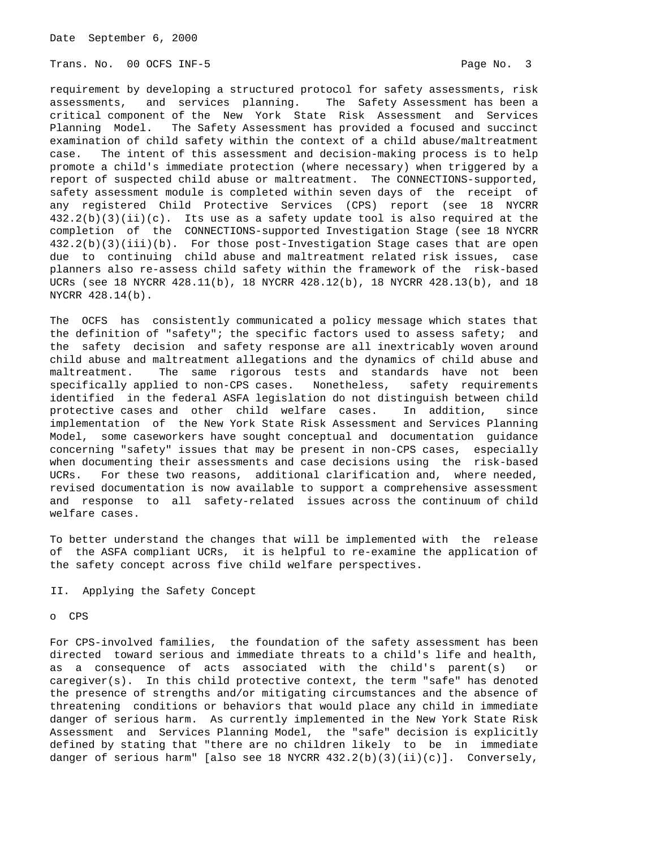Trans. No. 00 OCFS INF-5 **Page No. 3** 

requirement by developing a structured protocol for safety assessments, risk assessments, and services planning. The Safety Assessment has been a critical component of the New York State Risk Assessment and Services Planning Model. The Safety Assessment has provided a focused and succinct examination of child safety within the context of a child abuse/maltreatment case. The intent of this assessment and decision-making process is to help promote a child's immediate protection (where necessary) when triggered by a report of suspected child abuse or maltreatment. The CONNECTIONS-supported, safety assessment module is completed within seven days of the receipt of any registered Child Protective Services (CPS) report (see 18 NYCRR  $432.2(b)(3)(ii)(c)$ . Its use as a safety update tool is also required at the completion of the CONNECTIONS-supported Investigation Stage (see 18 NYCRR 432.2(b)(3)(iii)(b). For those post-Investigation Stage cases that are open due to continuing child abuse and maltreatment related risk issues, case planners also re-assess child safety within the framework of the risk-based UCRs (see 18 NYCRR 428.11(b), 18 NYCRR 428.12(b), 18 NYCRR 428.13(b), and 18 NYCRR 428.14(b).

The OCFS has consistently communicated a policy message which states that the definition of "safety"; the specific factors used to assess safety; and the safety decision and safety response are all inextricably woven around child abuse and maltreatment allegations and the dynamics of child abuse and maltreatment. The same rigorous tests and standards have not been specifically applied to non-CPS cases. Nonetheless, safety requirements identified in the federal ASFA legislation do not distinguish between child protective cases and other child welfare cases. In addition, since implementation of the New York State Risk Assessment and Services Planning Model, some caseworkers have sought conceptual and documentation guidance concerning "safety" issues that may be present in non-CPS cases, especially when documenting their assessments and case decisions using the risk-based UCRs. For these two reasons, additional clarification and, where needed, revised documentation is now available to support a comprehensive assessment and response to all safety-related issues across the continuum of child welfare cases.

To better understand the changes that will be implemented with the release of the ASFA compliant UCRs, it is helpful to re-examine the application of the safety concept across five child welfare perspectives.

II. Applying the Safety Concept

# o CPS

For CPS-involved families, the foundation of the safety assessment has been directed toward serious and immediate threats to a child's life and health, as a consequence of acts associated with the child's parent(s) or caregiver(s). In this child protective context, the term "safe" has denoted the presence of strengths and/or mitigating circumstances and the absence of threatening conditions or behaviors that would place any child in immediate danger of serious harm. As currently implemented in the New York State Risk Assessment and Services Planning Model, the "safe" decision is explicitly defined by stating that "there are no children likely to be in immediate danger of serious harm" [also see 18 NYCRR 432.2(b)(3)(ii)(c)]. Conversely,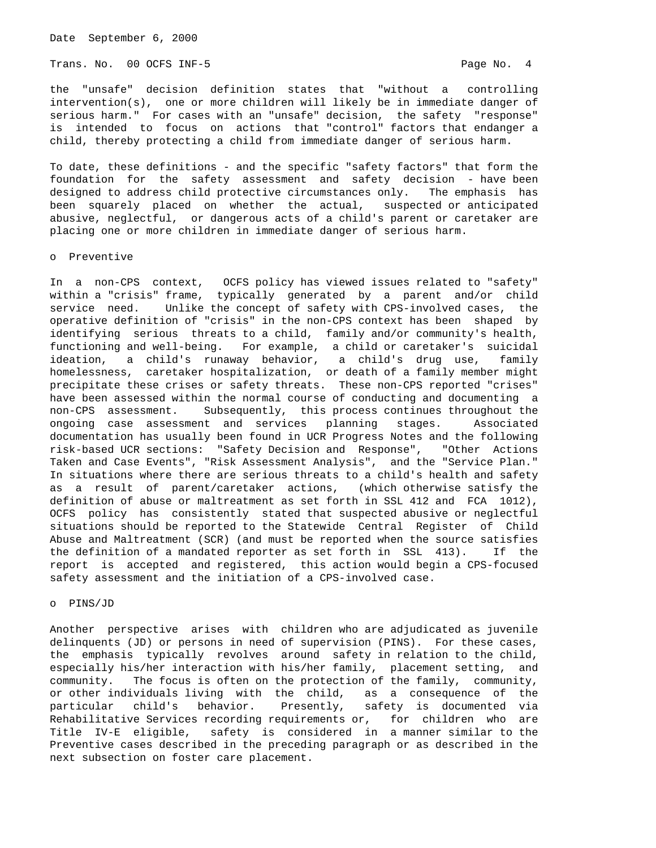Trans. No. 00 OCFS INF-5 **Page No. 4** Page No. 4

the "unsafe" decision definition states that "without a controlling intervention(s), one or more children will likely be in immediate danger of serious harm." For cases with an "unsafe" decision, the safety "response" is intended to focus on actions that "control" factors that endanger a child, thereby protecting a child from immediate danger of serious harm.

To date, these definitions - and the specific "safety factors" that form the foundation for the safety assessment and safety decision - have been designed to address child protective circumstances only. The emphasis has been squarely placed on whether the actual, suspected or anticipated abusive, neglectful, or dangerous acts of a child's parent or caretaker are placing one or more children in immediate danger of serious harm.

#### o Preventive

In a non-CPS context, OCFS policy has viewed issues related to "safety" within a "crisis" frame, typically generated by a parent and/or child service need. Unlike the concept of safety with CPS-involved cases, the operative definition of "crisis" in the non-CPS context has been shaped by identifying serious threats to a child, family and/or community's health, functioning and well-being. For example, a child or caretaker's suicidal ideation, a child's runaway behavior, a child's drug use, family homelessness, caretaker hospitalization, or death of a family member might precipitate these crises or safety threats. These non-CPS reported "crises" have been assessed within the normal course of conducting and documenting a non-CPS assessment. Subsequently, this process continues throughout the ongoing case assessment and services planning stages. Associated documentation has usually been found in UCR Progress Notes and the following risk-based UCR sections: "Safety Decision and Response", "Other Actions Taken and Case Events", "Risk Assessment Analysis", and the "Service Plan." In situations where there are serious threats to a child's health and safety as a result of parent/caretaker actions, (which otherwise satisfy the definition of abuse or maltreatment as set forth in SSL 412 and FCA 1012), OCFS policy has consistently stated that suspected abusive or neglectful situations should be reported to the Statewide Central Register of Child Abuse and Maltreatment (SCR) (and must be reported when the source satisfies the definition of a mandated reporter as set forth in SSL 413). If the report is accepted and registered, this action would begin a CPS-focused safety assessment and the initiation of a CPS-involved case.

# o PINS/JD

Another perspective arises with children who are adjudicated as juvenile delinquents (JD) or persons in need of supervision (PINS). For these cases, the emphasis typically revolves around safety in relation to the child, especially his/her interaction with his/her family, placement setting, and community. The focus is often on the protection of the family, community, or other individuals living with the child, as a consequence of the particular child's behavior. Presently, safety is documented via Rehabilitative Services recording requirements or, for children who are Title IV-E eligible, safety is considered in a manner similar to the Preventive cases described in the preceding paragraph or as described in the next subsection on foster care placement.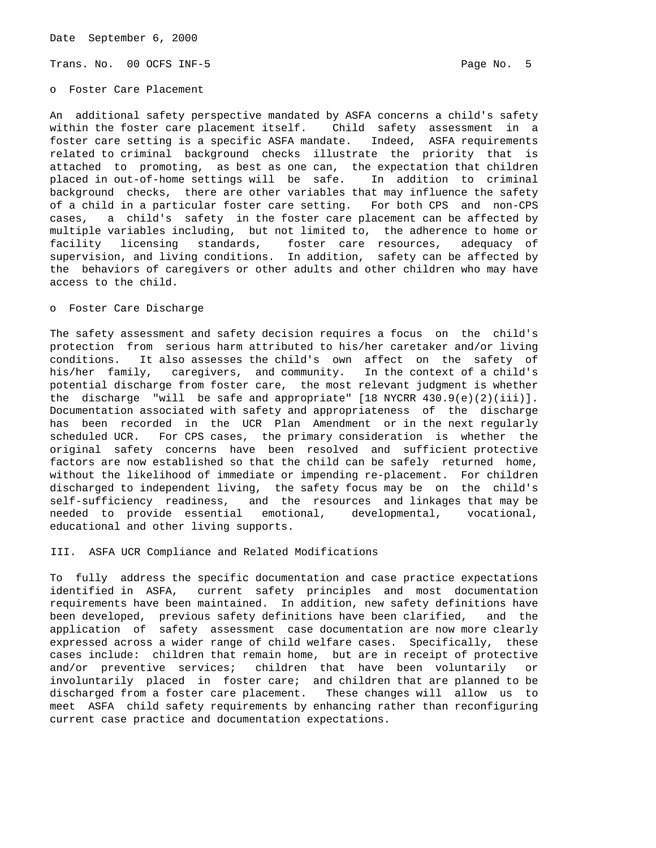Trans. No. 00 OCFS INF-5 **Page No. 5** Page No. 5

o Foster Care Placement

An additional safety perspective mandated by ASFA concerns a child's safety within the foster care placement itself. Child safety assessment in a foster care setting is a specific ASFA mandate. Indeed, ASFA requirements related to criminal background checks illustrate the priority that is attached to promoting, as best as one can, the expectation that children placed in out-of-home settings will be safe. In addition to criminal background checks, there are other variables that may influence the safety of a child in a particular foster care setting. For both CPS and non-CPS cases, a child's safety in the foster care placement can be affected by multiple variables including, but not limited to, the adherence to home or facility licensing standards, foster care resources, adequacy of supervision, and living conditions. In addition, safety can be affected by the behaviors of caregivers or other adults and other children who may have access to the child.

## o Foster Care Discharge

The safety assessment and safety decision requires a focus on the child's protection from serious harm attributed to his/her caretaker and/or living conditions. It also assesses the child's own affect on the safety of his/her family, caregivers, and community. In the context of a child's potential discharge from foster care, the most relevant judgment is whether the discharge "will be safe and appropriate"  $[18 \text{ NYCRR } 430.9(e)(2)(iii)].$ Documentation associated with safety and appropriateness of the discharge has been recorded in the UCR Plan Amendment or in the next regularly scheduled UCR. For CPS cases, the primary consideration is whether the original safety concerns have been resolved and sufficient protective factors are now established so that the child can be safely returned home, without the likelihood of immediate or impending re-placement. For children discharged to independent living, the safety focus may be on the child's self-sufficiency readiness, and the resources and linkages that may be needed to provide essential emotional, developmental, vocational, educational and other living supports.

III. ASFA UCR Compliance and Related Modifications

To fully address the specific documentation and case practice expectations identified in ASFA, current safety principles and most documentation requirements have been maintained. In addition, new safety definitions have been developed, previous safety definitions have been clarified, and the application of safety assessment case documentation are now more clearly expressed across a wider range of child welfare cases. Specifically, these cases include: children that remain home, but are in receipt of protective and/or preventive services; children that have been voluntarily or involuntarily placed in foster care; and children that are planned to be discharged from a foster care placement. These changes will allow us to meet ASFA child safety requirements by enhancing rather than reconfiguring current case practice and documentation expectations.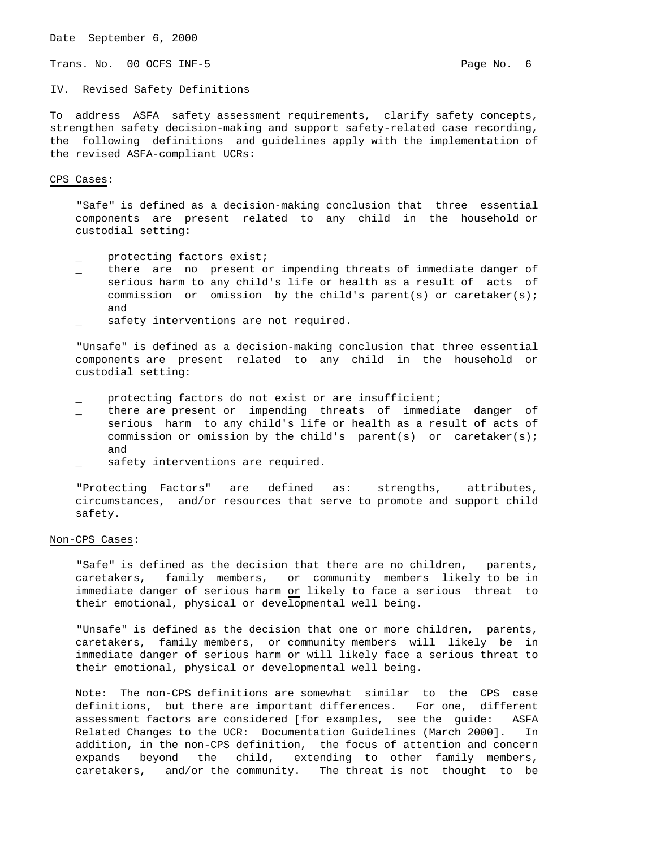Trans. No. 00 OCFS INF-5 **Page No. 6** Page No. 6

IV. Revised Safety Definitions

To address ASFA safety assessment requirements, clarify safety concepts, strengthen safety decision-making and support safety-related case recording, the following definitions and guidelines apply with the implementation of the revised ASFA-compliant UCRs:

#### CPS Cases:

 "Safe" is defined as a decision-making conclusion that three essential components are present related to any child in the household or custodial setting:

- protecting factors exist;
- there are no present or impending threats of immediate danger of serious harm to any child's life or health as a result of acts of commission or omission by the child's parent(s) or caretaker(s); and
- safety interventions are not required.

 "Unsafe" is defined as a decision-making conclusion that three essential components are present related to any child in the household or custodial setting:

- protecting factors do not exist or are insufficient;
- there are present or impending threats of immediate danger of serious harm to any child's life or health as a result of acts of commission or omission by the child's parent(s) or caretaker(s); and
- safety interventions are required.

 "Protecting Factors" are defined as: strengths, attributes, circumstances, and/or resources that serve to promote and support child safety.

#### Non-CPS Cases:

 "Safe" is defined as the decision that there are no children, parents, caretakers, family members, or community members likely to be in immediate danger of serious harm or likely to face a serious threat to their emotional, physical or developmental well being.

 "Unsafe" is defined as the decision that one or more children, parents, caretakers, family members, or community members will likely be in immediate danger of serious harm or will likely face a serious threat to their emotional, physical or developmental well being.

 Note: The non-CPS definitions are somewhat similar to the CPS case definitions, but there are important differences. For one, different assessment factors are considered [for examples, see the guide: ASFA Related Changes to the UCR: Documentation Guidelines (March 2000]. In addition, in the non-CPS definition, the focus of attention and concern expands beyond the child, extending to other family members, caretakers, and/or the community. The threat is not thought to be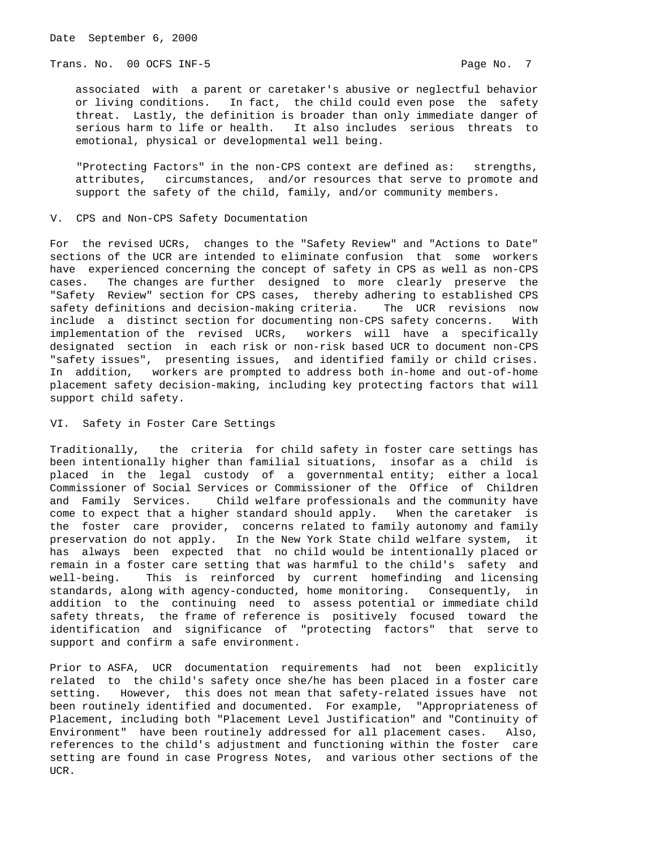Trans. No. 00 OCFS INF-5 **Page No. 7** Page No. 7

 associated with a parent or caretaker's abusive or neglectful behavior or living conditions. In fact, the child could even pose the safety threat. Lastly, the definition is broader than only immediate danger of serious harm to life or health. It also includes serious threats to emotional, physical or developmental well being.

 "Protecting Factors" in the non-CPS context are defined as: strengths, attributes, circumstances, and/or resources that serve to promote and support the safety of the child, family, and/or community members.

V. CPS and Non-CPS Safety Documentation

For the revised UCRs, changes to the "Safety Review" and "Actions to Date" sections of the UCR are intended to eliminate confusion that some workers have experienced concerning the concept of safety in CPS as well as non-CPS cases. The changes are further designed to more clearly preserve the "Safety Review" section for CPS cases, thereby adhering to established CPS safety definitions and decision-making criteria. The UCR revisions now include a distinct section for documenting non-CPS safety concerns. With implementation of the revised UCRs, workers will have a specifically designated section in each risk or non-risk based UCR to document non-CPS "safety issues", presenting issues, and identified family or child crises. In addition, workers are prompted to address both in-home and out-of-home placement safety decision-making, including key protecting factors that will support child safety.

VI. Safety in Foster Care Settings

Traditionally, the criteria for child safety in foster care settings has been intentionally higher than familial situations, insofar as a child is placed in the legal custody of a governmental entity; either a local Commissioner of Social Services or Commissioner of the Office of Children and Family Services. Child welfare professionals and the community have come to expect that a higher standard should apply. When the caretaker is the foster care provider, concerns related to family autonomy and family preservation do not apply. In the New York State child welfare system, it has always been expected that no child would be intentionally placed or remain in a foster care setting that was harmful to the child's safety and well-being. This is reinforced by current homefinding and licensing standards, along with agency-conducted, home monitoring. Consequently, in addition to the continuing need to assess potential or immediate child safety threats, the frame of reference is positively focused toward the identification and significance of "protecting factors" that serve to support and confirm a safe environment.

Prior to ASFA, UCR documentation requirements had not been explicitly related to the child's safety once she/he has been placed in a foster care setting. However, this does not mean that safety-related issues have not been routinely identified and documented. For example, "Appropriateness of Placement, including both "Placement Level Justification" and "Continuity of Environment" have been routinely addressed for all placement cases. Also, references to the child's adjustment and functioning within the foster care setting are found in case Progress Notes, and various other sections of the UCR.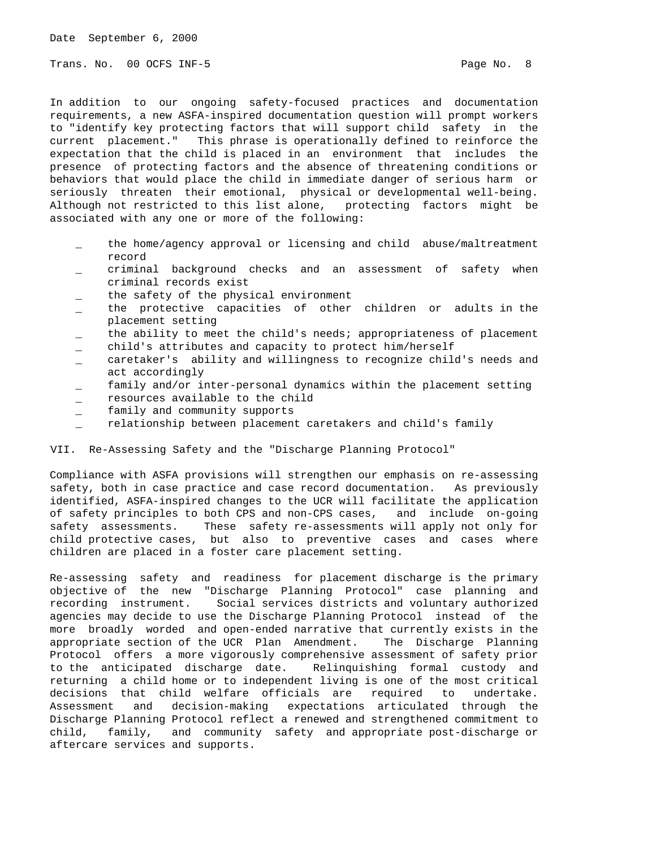Trans. No. 00 OCFS INF-5 **Page No. 8** Page No. 8

In addition to our ongoing safety-focused practices and documentation requirements, a new ASFA-inspired documentation question will prompt workers to "identify key protecting factors that will support child safety in the current placement." This phrase is operationally defined to reinforce the expectation that the child is placed in an environment that includes the presence of protecting factors and the absence of threatening conditions or behaviors that would place the child in immediate danger of serious harm or seriously threaten their emotional, physical or developmental well-being. Although not restricted to this list alone, protecting factors might be associated with any one or more of the following:

- the home/agency approval or licensing and child abuse/maltreatment record
- \_ criminal background checks and an assessment of safety when criminal records exist
- the safety of the physical environment
- the protective capacities of other children or adults in the placement setting
- the ability to meet the child's needs; appropriateness of placement
- child's attributes and capacity to protect him/herself
- \_ caretaker's ability and willingness to recognize child's needs and act accordingly
- family and/or inter-personal dynamics within the placement setting
- resources available to the child
- \_ family and community supports
- relationship between placement caretakers and child's family

VII. Re-Assessing Safety and the "Discharge Planning Protocol"

Compliance with ASFA provisions will strengthen our emphasis on re-assessing safety, both in case practice and case record documentation. As previously identified, ASFA-inspired changes to the UCR will facilitate the application of safety principles to both CPS and non-CPS cases, and include on-going safety assessments. These safety re-assessments will apply not only for child protective cases, but also to preventive cases and cases where children are placed in a foster care placement setting.

Re-assessing safety and readiness for placement discharge is the primary objective of the new "Discharge Planning Protocol" case planning and recording instrument. Social services districts and voluntary authorized agencies may decide to use the Discharge Planning Protocol instead of the more broadly worded and open-ended narrative that currently exists in the appropriate section of the UCR Plan Amendment. The Discharge Planning Protocol offers a more vigorously comprehensive assessment of safety prior to the anticipated discharge date. Relinquishing formal custody and returning a child home or to independent living is one of the most critical decisions that child welfare officials are required to undertake. Assessment and decision-making expectations articulated through the Discharge Planning Protocol reflect a renewed and strengthened commitment to child, family, and community safety and appropriate post-discharge or aftercare services and supports.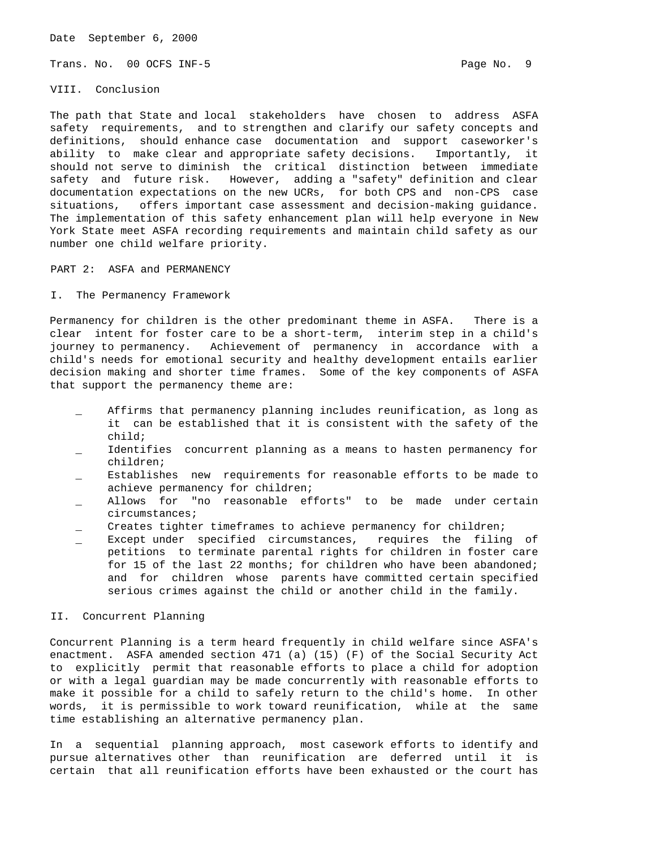Trans. No. 00 OCFS INF-5 **Page No. 9** Page No. 9

## VIII. Conclusion

The path that State and local stakeholders have chosen to address ASFA safety requirements, and to strengthen and clarify our safety concepts and definitions, should enhance case documentation and support caseworker's ability to make clear and appropriate safety decisions. Importantly, it should not serve to diminish the critical distinction between immediate safety and future risk. However, adding a "safety" definition and clear documentation expectations on the new UCRs, for both CPS and non-CPS case situations, offers important case assessment and decision-making guidance. The implementation of this safety enhancement plan will help everyone in New York State meet ASFA recording requirements and maintain child safety as our number one child welfare priority.

PART 2: ASFA and PERMANENCY

### I. The Permanency Framework

Permanency for children is the other predominant theme in ASFA. There is a clear intent for foster care to be a short-term, interim step in a child's journey to permanency. Achievement of permanency in accordance with a child's needs for emotional security and healthy development entails earlier decision making and shorter time frames. Some of the key components of ASFA that support the permanency theme are:

- Affirms that permanency planning includes reunification, as long as it can be established that it is consistent with the safety of the child;
- Identifies concurrent planning as a means to hasten permanency for children;
- Establishes new requirements for reasonable efforts to be made to achieve permanency for children;
- Allows for "no reasonable efforts" to be made under certain circumstances;
- Creates tighter timeframes to achieve permanency for children;
- Except under specified circumstances, requires the filing of petitions to terminate parental rights for children in foster care for 15 of the last 22 months; for children who have been abandoned; and for children whose parents have committed certain specified serious crimes against the child or another child in the family.

## II. Concurrent Planning

Concurrent Planning is a term heard frequently in child welfare since ASFA's enactment. ASFA amended section 471 (a) (15) (F) of the Social Security Act to explicitly permit that reasonable efforts to place a child for adoption or with a legal guardian may be made concurrently with reasonable efforts to make it possible for a child to safely return to the child's home. In other words, it is permissible to work toward reunification, while at the same time establishing an alternative permanency plan.

In a sequential planning approach, most casework efforts to identify and pursue alternatives other than reunification are deferred until it is certain that all reunification efforts have been exhausted or the court has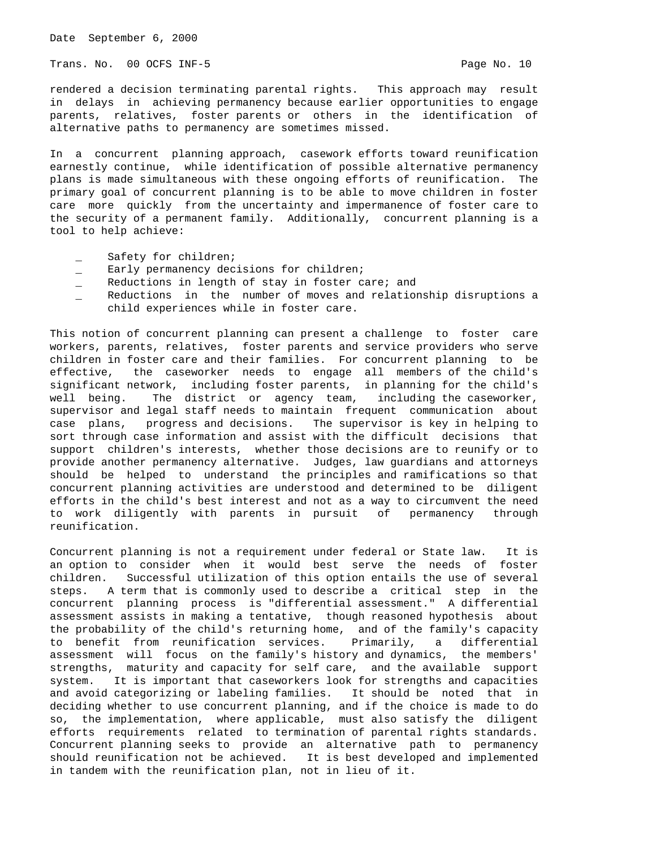Trans. No. 00 OCFS INF-5 **Page No. 10** Page No. 10

rendered a decision terminating parental rights. This approach may result in delays in achieving permanency because earlier opportunities to engage parents, relatives, foster parents or others in the identification of alternative paths to permanency are sometimes missed.

In a concurrent planning approach, casework efforts toward reunification earnestly continue, while identification of possible alternative permanency plans is made simultaneous with these ongoing efforts of reunification. The primary goal of concurrent planning is to be able to move children in foster care more quickly from the uncertainty and impermanence of foster care to the security of a permanent family. Additionally, concurrent planning is a tool to help achieve:

- Safety for children;
- \_ Early permanency decisions for children;
- \_ Reductions in length of stay in foster care; and
- Reductions in the number of moves and relationship disruptions a child experiences while in foster care.

This notion of concurrent planning can present a challenge to foster care workers, parents, relatives, foster parents and service providers who serve children in foster care and their families. For concurrent planning to be effective, the caseworker needs to engage all members of the child's significant network, including foster parents, in planning for the child's well being. The district or agency team, including the caseworker, supervisor and legal staff needs to maintain frequent communication about case plans, progress and decisions. The supervisor is key in helping to sort through case information and assist with the difficult decisions that support children's interests, whether those decisions are to reunify or to provide another permanency alternative. Judges, law guardians and attorneys should be helped to understand the principles and ramifications so that concurrent planning activities are understood and determined to be diligent efforts in the child's best interest and not as a way to circumvent the need to work diligently with parents in pursuit of permanency through reunification.

Concurrent planning is not a requirement under federal or State law. It is an option to consider when it would best serve the needs of foster children. Successful utilization of this option entails the use of several steps. A term that is commonly used to describe a critical step in the concurrent planning process is "differential assessment." A differential assessment assists in making a tentative, though reasoned hypothesis about the probability of the child's returning home, and of the family's capacity to benefit from reunification services. Primarily, a differential assessment will focus on the family's history and dynamics, the members' strengths, maturity and capacity for self care, and the available support system. It is important that caseworkers look for strengths and capacities and avoid categorizing or labeling families. It should be noted that in deciding whether to use concurrent planning, and if the choice is made to do so, the implementation, where applicable, must also satisfy the diligent efforts requirements related to termination of parental rights standards. Concurrent planning seeks to provide an alternative path to permanency should reunification not be achieved. It is best developed and implemented in tandem with the reunification plan, not in lieu of it.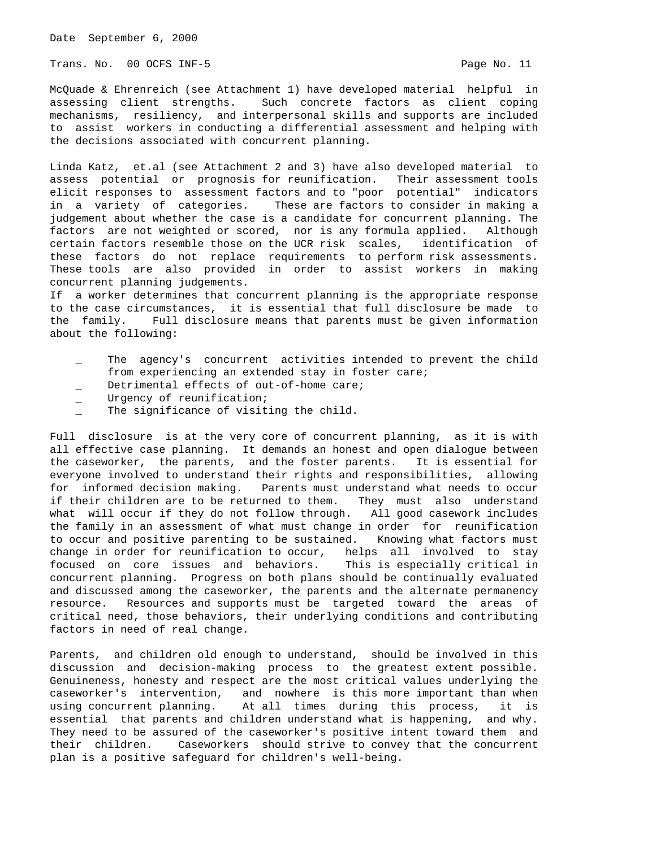Trans. No. 00 OCFS INF-5 **Page No. 11** Page No. 11

McQuade & Ehrenreich (see Attachment 1) have developed material helpful in assessing client strengths. Such concrete factors as client coping mechanisms, resiliency, and interpersonal skills and supports are included to assist workers in conducting a differential assessment and helping with the decisions associated with concurrent planning.

Linda Katz, et.al (see Attachment 2 and 3) have also developed material to assess potential or prognosis for reunification. Their assessment tools elicit responses to assessment factors and to "poor potential" indicators in a variety of categories. These are factors to consider in making a judgement about whether the case is a candidate for concurrent planning. The factors are not weighted or scored, nor is any formula applied. Although certain factors resemble those on the UCR risk scales, identification of these factors do not replace requirements to perform risk assessments. These tools are also provided in order to assist workers in making concurrent planning judgements.

If a worker determines that concurrent planning is the appropriate response to the case circumstances, it is essential that full disclosure be made to the family. Full disclosure means that parents must be given information about the following:

- The agency's concurrent activities intended to prevent the child from experiencing an extended stay in foster care;
- Detrimental effects of out-of-home care;
- Urgency of reunification;
- The significance of visiting the child.

Full disclosure is at the very core of concurrent planning, as it is with all effective case planning. It demands an honest and open dialogue between the caseworker, the parents, and the foster parents. It is essential for everyone involved to understand their rights and responsibilities, allowing for informed decision making. Parents must understand what needs to occur if their children are to be returned to them. They must also understand what will occur if they do not follow through. All good casework includes the family in an assessment of what must change in order for reunification to occur and positive parenting to be sustained. Knowing what factors must change in order for reunification to occur, helps all involved to stay<br>focused on core issues and behaviors. This is especially critical in focused on core issues and behaviors. concurrent planning. Progress on both plans should be continually evaluated and discussed among the caseworker, the parents and the alternate permanency resource. Resources and supports must be targeted toward the areas of critical need, those behaviors, their underlying conditions and contributing factors in need of real change.

Parents, and children old enough to understand, should be involved in this discussion and decision-making process to the greatest extent possible. Genuineness, honesty and respect are the most critical values underlying the caseworker's intervention, and nowhere is this more important than when using concurrent planning. At all times during this process, it is essential that parents and children understand what is happening, and why. They need to be assured of the caseworker's positive intent toward them and their children. Caseworkers should strive to convey that the concurrent plan is a positive safeguard for children's well-being.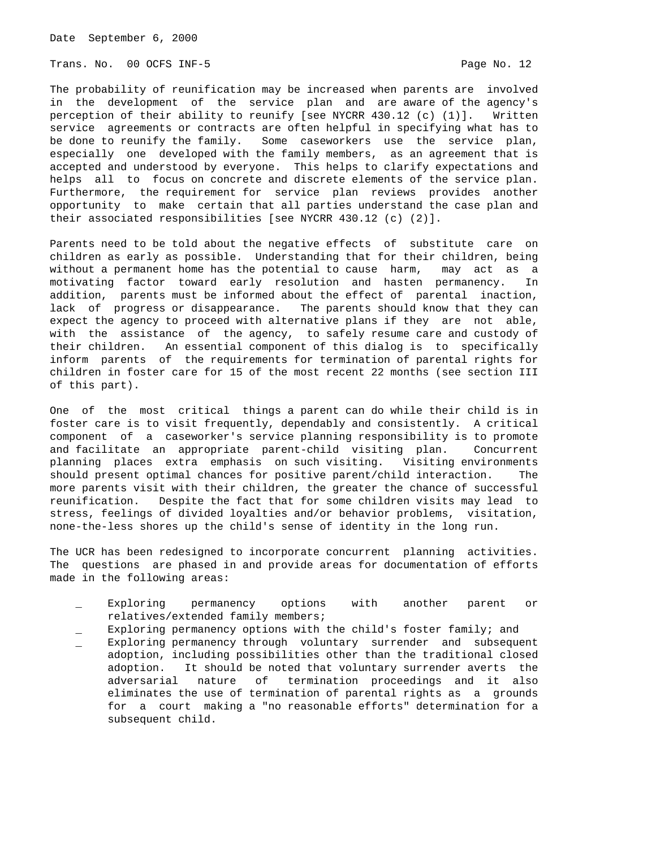Trans. No. 00 OCFS INF-5 **Page No. 12** 

The probability of reunification may be increased when parents are involved in the development of the service plan and are aware of the agency's perception of their ability to reunify [see NYCRR 430.12 (c) (1)]. Written service agreements or contracts are often helpful in specifying what has to be done to reunify the family. Some caseworkers use the service plan, especially one developed with the family members, as an agreement that is accepted and understood by everyone. This helps to clarify expectations and helps all to focus on concrete and discrete elements of the service plan. Furthermore, the requirement for service plan reviews provides another opportunity to make certain that all parties understand the case plan and their associated responsibilities [see NYCRR 430.12 (c) (2)].

Parents need to be told about the negative effects of substitute care on children as early as possible. Understanding that for their children, being without a permanent home has the potential to cause harm, may act as a motivating factor toward early resolution and hasten permanency. In addition, parents must be informed about the effect of parental inaction, lack of progress or disappearance. The parents should know that they can expect the agency to proceed with alternative plans if they are not able, with the assistance of the agency, to safely resume care and custody of their children. An essential component of this dialog is to specifically inform parents of the requirements for termination of parental rights for children in foster care for 15 of the most recent 22 months (see section III of this part).

One of the most critical things a parent can do while their child is in foster care is to visit frequently, dependably and consistently. A critical component of a caseworker's service planning responsibility is to promote and facilitate an appropriate parent-child visiting plan. Concurrent planning places extra emphasis on such visiting. Visiting environments should present optimal chances for positive parent/child interaction. The more parents visit with their children, the greater the chance of successful reunification. Despite the fact that for some children visits may lead to stress, feelings of divided loyalties and/or behavior problems, visitation, none-the-less shores up the child's sense of identity in the long run.

The UCR has been redesigned to incorporate concurrent planning activities. The questions are phased in and provide areas for documentation of efforts made in the following areas:

- Exploring permanency options with another parent or relatives/extended family members;
- Exploring permanency options with the child's foster family; and
- \_ Exploring permanency through voluntary surrender and subsequent adoption, including possibilities other than the traditional closed adoption. It should be noted that voluntary surrender averts the adversarial nature of termination proceedings and it also eliminates the use of termination of parental rights as a grounds for a court making a "no reasonable efforts" determination for a subsequent child.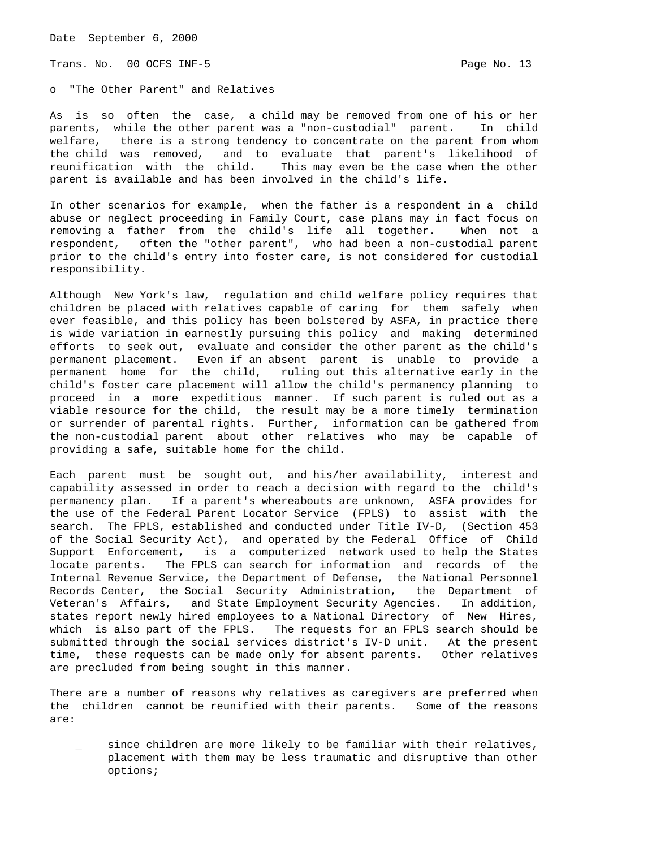Trans. No. 00 OCFS INF-5 **Page No. 13** 

o "The Other Parent" and Relatives

As is so often the case, a child may be removed from one of his or her parents, while the other parent was a "non-custodial" parent. In child welfare, there is a strong tendency to concentrate on the parent from whom the child was removed, and to evaluate that parent's likelihood of reunification with the child. This may even be the case when the other parent is available and has been involved in the child's life.

In other scenarios for example, when the father is a respondent in a child abuse or neglect proceeding in Family Court, case plans may in fact focus on removing a father from the child's life all together. When not a respondent, often the "other parent", who had been a non-custodial parent prior to the child's entry into foster care, is not considered for custodial responsibility.

Although New York's law, regulation and child welfare policy requires that children be placed with relatives capable of caring for them safely when ever feasible, and this policy has been bolstered by ASFA, in practice there is wide variation in earnestly pursuing this policy and making determined efforts to seek out, evaluate and consider the other parent as the child's permanent placement. Even if an absent parent is unable to provide a permanent home for the child, ruling out this alternative early in the child's foster care placement will allow the child's permanency planning to proceed in a more expeditious manner. If such parent is ruled out as a viable resource for the child, the result may be a more timely termination or surrender of parental rights. Further, information can be gathered from the non-custodial parent about other relatives who may be capable of providing a safe, suitable home for the child.

Each parent must be sought out, and his/her availability, interest and capability assessed in order to reach a decision with regard to the child's permanency plan. If a parent's whereabouts are unknown, ASFA provides for the use of the Federal Parent Locator Service (FPLS) to assist with the search. The FPLS, established and conducted under Title IV-D, (Section 453 of the Social Security Act), and operated by the Federal Office of Child Support Enforcement, is a computerized network used to help the States locate parents. The FPLS can search for information and records of the Internal Revenue Service, the Department of Defense, the National Personnel Records Center, the Social Security Administration, the Department of Veteran's Affairs, and State Employment Security Agencies. In addition, states report newly hired employees to a National Directory of New Hires, which is also part of the FPLS. The requests for an FPLS search should be submitted through the social services district's IV-D unit. At the present time, these requests can be made only for absent parents. Other relatives are precluded from being sought in this manner.

There are a number of reasons why relatives as caregivers are preferred when the children cannot be reunified with their parents. Some of the reasons are:

since children are more likely to be familiar with their relatives, placement with them may be less traumatic and disruptive than other options;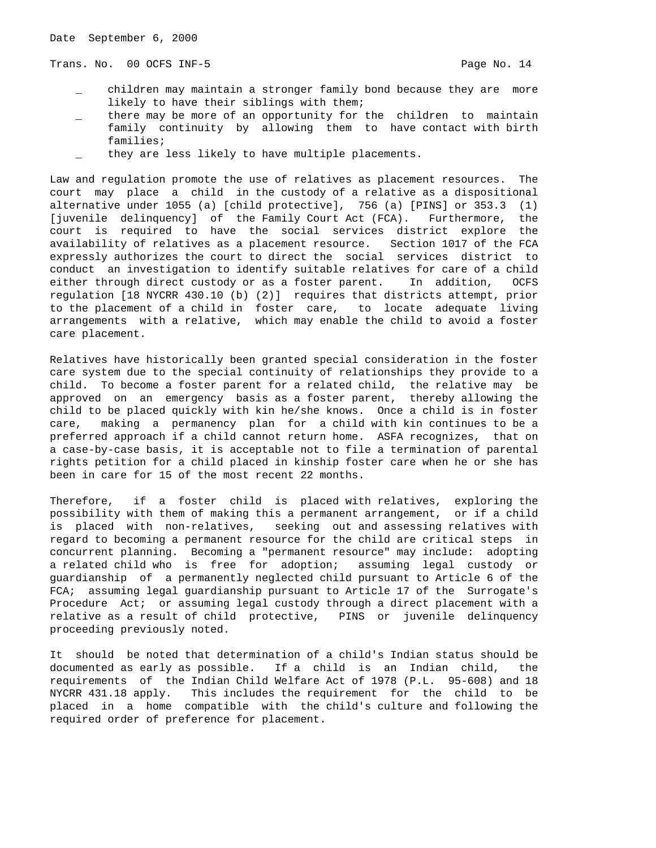Trans. No. 00 OCFS INF-5 **Page No. 14** Page No. 14

- children may maintain a stronger family bond because they are more likely to have their siblings with them;
- there may be more of an opportunity for the children to maintain family continuity by allowing them to have contact with birth families;
- they are less likely to have multiple placements.

Law and regulation promote the use of relatives as placement resources. The court may place a child in the custody of a relative as a dispositional alternative under 1055 (a) [child protective], 756 (a) [PINS] or 353.3 (1) [juvenile delinquency] of the Family Court Act (FCA). Furthermore, the court is required to have the social services district explore the availability of relatives as a placement resource. Section 1017 of the FCA expressly authorizes the court to direct the social services district to conduct an investigation to identify suitable relatives for care of a child either through direct custody or as a foster parent. In addition, OCFS regulation [18 NYCRR 430.10 (b) (2)] requires that districts attempt, prior to the placement of a child in foster care, to locate adequate living arrangements with a relative, which may enable the child to avoid a foster care placement.

Relatives have historically been granted special consideration in the foster care system due to the special continuity of relationships they provide to a child. To become a foster parent for a related child, the relative may be approved on an emergency basis as a foster parent, thereby allowing the child to be placed quickly with kin he/she knows. Once a child is in foster care, making a permanency plan for a child with kin continues to be a preferred approach if a child cannot return home. ASFA recognizes, that on a case-by-case basis, it is acceptable not to file a termination of parental rights petition for a child placed in kinship foster care when he or she has been in care for 15 of the most recent 22 months.

Therefore, if a foster child is placed with relatives, exploring the possibility with them of making this a permanent arrangement, or if a child is placed with non-relatives, seeking out and assessing relatives with regard to becoming a permanent resource for the child are critical steps in concurrent planning. Becoming a "permanent resource" may include: adopting a related child who is free for adoption; assuming legal custody or guardianship of a permanently neglected child pursuant to Article 6 of the FCA; assuming legal guardianship pursuant to Article 17 of the Surrogate's Procedure Act; or assuming legal custody through a direct placement with a relative as a result of child protective, PINS or juvenile delinquency proceeding previously noted.

It should be noted that determination of a child's Indian status should be documented as early as possible. If a child is an Indian child, the requirements of the Indian Child Welfare Act of 1978 (P.L. 95-608) and 18 NYCRR 431.18 apply. This includes the requirement for the child to be placed in a home compatible with the child's culture and following the required order of preference for placement.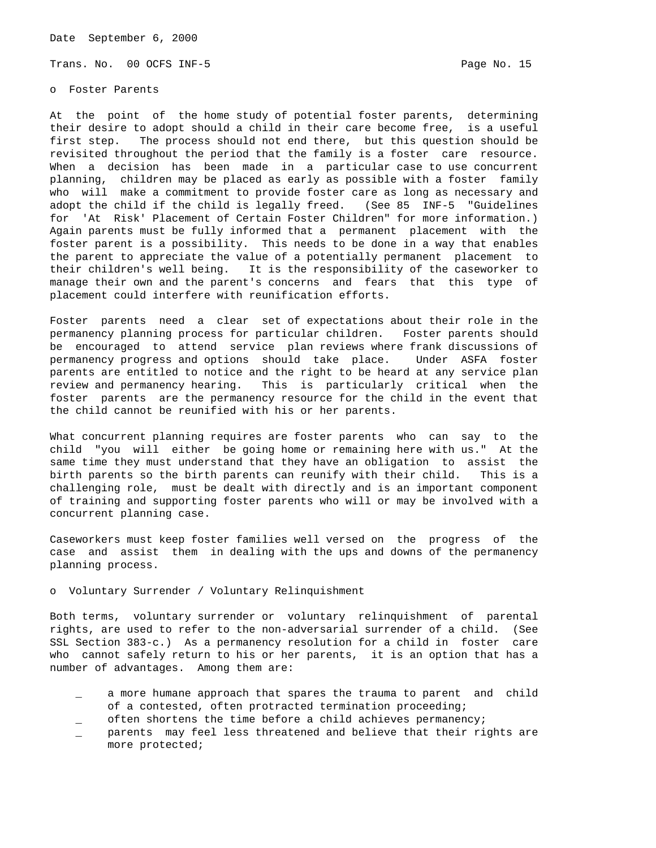Trans. No. 00 OCFS INF-5 **Page No. 15** Page No. 15

o Foster Parents

At the point of the home study of potential foster parents, determining their desire to adopt should a child in their care become free, is a useful first step. The process should not end there, but this question should be revisited throughout the period that the family is a foster care resource. When a decision has been made in a particular case to use concurrent planning, children may be placed as early as possible with a foster family who will make a commitment to provide foster care as long as necessary and adopt the child if the child is legally freed. (See 85 INF-5 "Guidelines for 'At Risk' Placement of Certain Foster Children" for more information.) Again parents must be fully informed that a permanent placement with the foster parent is a possibility. This needs to be done in a way that enables the parent to appreciate the value of a potentially permanent placement to their children's well being. It is the responsibility of the caseworker to manage their own and the parent's concerns and fears that this type of placement could interfere with reunification efforts.

Foster parents need a clear set of expectations about their role in the permanency planning process for particular children. Foster parents should be encouraged to attend service plan reviews where frank discussions of permanency progress and options should take place. Under ASFA foster parents are entitled to notice and the right to be heard at any service plan review and permanency hearing. This is particularly critical when the foster parents are the permanency resource for the child in the event that the child cannot be reunified with his or her parents.

What concurrent planning requires are foster parents who can say to the child "you will either be going home or remaining here with us." At the same time they must understand that they have an obligation to assist the birth parents so the birth parents can reunify with their child. This is a challenging role, must be dealt with directly and is an important component of training and supporting foster parents who will or may be involved with a concurrent planning case.

Caseworkers must keep foster families well versed on the progress of the case and assist them in dealing with the ups and downs of the permanency planning process.

## o Voluntary Surrender / Voluntary Relinquishment

Both terms, voluntary surrender or voluntary relinquishment of parental rights, are used to refer to the non-adversarial surrender of a child. (See SSL Section 383-c.) As a permanency resolution for a child in foster care who cannot safely return to his or her parents, it is an option that has a number of advantages. Among them are:

- \_ a more humane approach that spares the trauma to parent and child of a contested, often protracted termination proceeding;
- often shortens the time before a child achieves permanency;
- parents may feel less threatened and believe that their rights are more protected;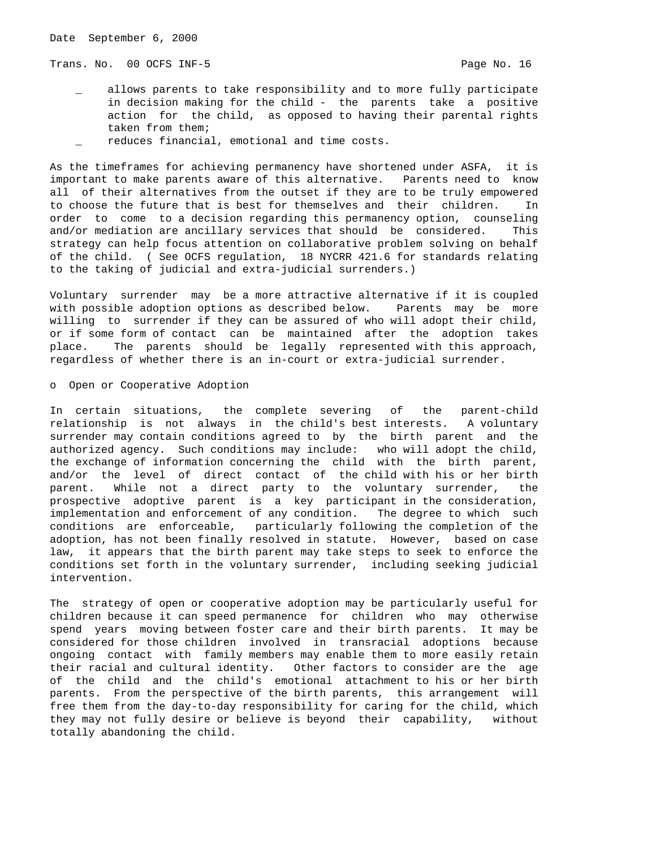Trans. No. 00 OCFS INF-5 **Page No. 16** Page No. 16

- allows parents to take responsibility and to more fully participate in decision making for the child - the parents take a positive action for the child, as opposed to having their parental rights taken from them;
- reduces financial, emotional and time costs.

As the timeframes for achieving permanency have shortened under ASFA, it is important to make parents aware of this alternative. Parents need to know all of their alternatives from the outset if they are to be truly empowered to choose the future that is best for themselves and their children. In order to come to a decision regarding this permanency option, counseling and/or mediation are ancillary services that should be considered. This strategy can help focus attention on collaborative problem solving on behalf of the child. ( See OCFS regulation, 18 NYCRR 421.6 for standards relating to the taking of judicial and extra-judicial surrenders.)

Voluntary surrender may be a more attractive alternative if it is coupled with possible adoption options as described below. Parents may be more willing to surrender if they can be assured of who will adopt their child, or if some form of contact can be maintained after the adoption takes place. The parents should be legally represented with this approach, regardless of whether there is an in-court or extra-judicial surrender.

## o Open or Cooperative Adoption

In certain situations, the complete severing of the parent-child relationship is not always in the child's best interests. A voluntary surrender may contain conditions agreed to by the birth parent and the authorized agency. Such conditions may include: who will adopt the child, the exchange of information concerning the child with the birth parent, and/or the level of direct contact of the child with his or her birth parent. While not a direct party to the voluntary surrender, the prospective adoptive parent is a key participant in the consideration, implementation and enforcement of any condition. The degree to which such conditions are enforceable, particularly following the completion of the adoption, has not been finally resolved in statute. However, based on case law, it appears that the birth parent may take steps to seek to enforce the conditions set forth in the voluntary surrender, including seeking judicial intervention.

The strategy of open or cooperative adoption may be particularly useful for children because it can speed permanence for children who may otherwise spend years moving between foster care and their birth parents. It may be considered for those children involved in transracial adoptions because ongoing contact with family members may enable them to more easily retain their racial and cultural identity. Other factors to consider are the age of the child and the child's emotional attachment to his or her birth parents. From the perspective of the birth parents, this arrangement will free them from the day-to-day responsibility for caring for the child, which they may not fully desire or believe is beyond their capability, without totally abandoning the child.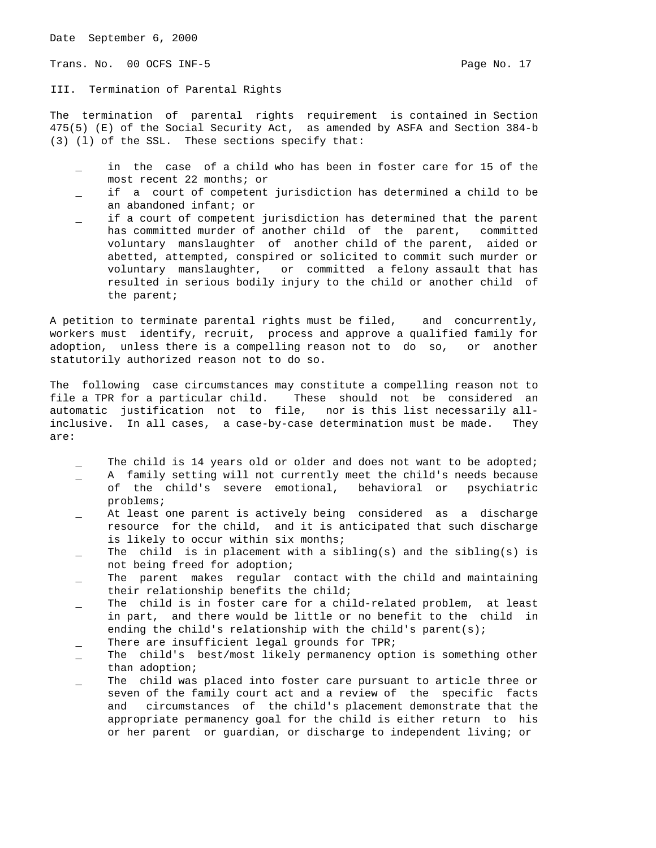Trans. No. 00 OCFS INF-5 **Page No. 17** Page No. 17

III. Termination of Parental Rights

The termination of parental rights requirement is contained in Section 475(5) (E) of the Social Security Act, as amended by ASFA and Section 384-b (3) (l) of the SSL. These sections specify that:

- in the case of a child who has been in foster care for 15 of the most recent 22 months; or
- if a court of competent jurisdiction has determined a child to be an abandoned infant; or
- if a court of competent jurisdiction has determined that the parent has committed murder of another child of the parent, committed voluntary manslaughter of another child of the parent, aided or abetted, attempted, conspired or solicited to commit such murder or voluntary manslaughter, or committed a felony assault that has resulted in serious bodily injury to the child or another child of the parent;

A petition to terminate parental rights must be filed, and concurrently, workers must identify, recruit, process and approve a qualified family for adoption, unless there is a compelling reason not to do so, or another statutorily authorized reason not to do so.

The following case circumstances may constitute a compelling reason not to file a TPR for a particular child. These should not be considered an automatic justification not to file, nor is this list necessarily allinclusive. In all cases, a case-by-case determination must be made. They are:

- The child is 14 years old or older and does not want to be adopted;
- A family setting will not currently meet the child's needs because of the child's severe emotional, behavioral or psychiatric problems;
- At least one parent is actively being considered as a discharge resource for the child, and it is anticipated that such discharge is likely to occur within six months;
- The child is in placement with a sibling(s) and the sibling(s) is not being freed for adoption;
- The parent makes regular contact with the child and maintaining their relationship benefits the child;
- The child is in foster care for a child-related problem, at least in part, and there would be little or no benefit to the child in ending the child's relationship with the child's parent(s);
- There are insufficient legal grounds for TPR;
- The child's best/most likely permanency option is something other than adoption;
- The child was placed into foster care pursuant to article three or seven of the family court act and a review of the specific facts and circumstances of the child's placement demonstrate that the appropriate permanency goal for the child is either return to his or her parent or guardian, or discharge to independent living; or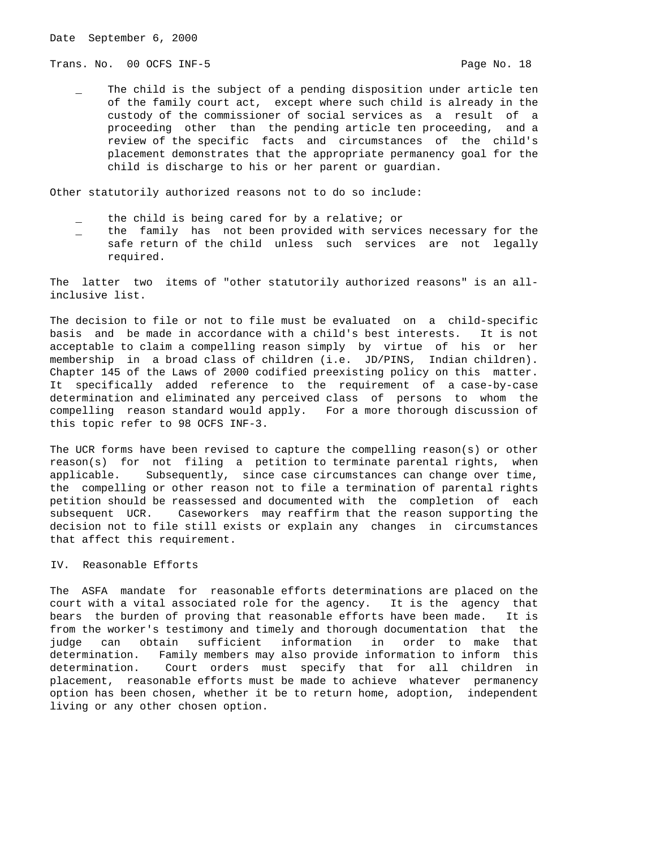Trans. No. 00 OCFS INF-5 **Page No. 18** Page No. 18

The child is the subject of a pending disposition under article ten of the family court act, except where such child is already in the custody of the commissioner of social services as a result of a proceeding other than the pending article ten proceeding, and a review of the specific facts and circumstances of the child's placement demonstrates that the appropriate permanency goal for the child is discharge to his or her parent or guardian.

Other statutorily authorized reasons not to do so include:

- the child is being cared for by a relative; or
- the family has not been provided with services necessary for the safe return of the child unless such services are not legally required.

The latter two items of "other statutorily authorized reasons" is an allinclusive list.

The decision to file or not to file must be evaluated on a child-specific basis and be made in accordance with a child's best interests. It is not acceptable to claim a compelling reason simply by virtue of his or her membership in a broad class of children (i.e. JD/PINS, Indian children). Chapter 145 of the Laws of 2000 codified preexisting policy on this matter. It specifically added reference to the requirement of a case-by-case determination and eliminated any perceived class of persons to whom the compelling reason standard would apply. For a more thorough discussion of this topic refer to 98 OCFS INF-3.

The UCR forms have been revised to capture the compelling reason(s) or other reason(s) for not filing a petition to terminate parental rights, when applicable. Subsequently, since case circumstances can change over time, the compelling or other reason not to file a termination of parental rights petition should be reassessed and documented with the completion of each subsequent UCR. Caseworkers may reaffirm that the reason supporting the decision not to file still exists or explain any changes in circumstances that affect this requirement.

# IV. Reasonable Efforts

The ASFA mandate for reasonable efforts determinations are placed on the court with a vital associated role for the agency. It is the agency that bears the burden of proving that reasonable efforts have been made. It is from the worker's testimony and timely and thorough documentation that the judge can obtain sufficient information in order to make that determination. Family members may also provide information to inform this determination. Court orders must specify that for all children in placement, reasonable efforts must be made to achieve whatever permanency option has been chosen, whether it be to return home, adoption, independent living or any other chosen option.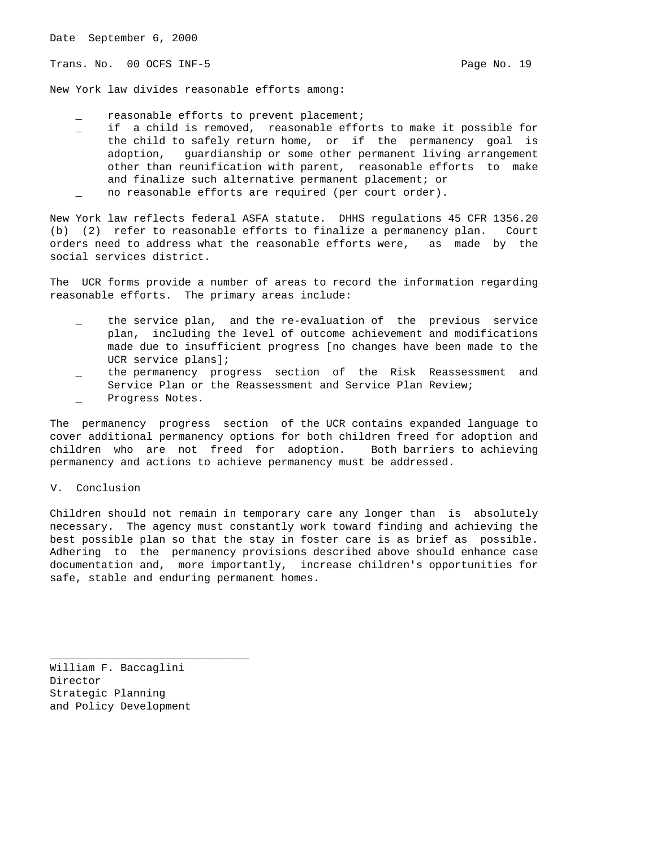Trans. No. 00 OCFS INF-5 **Page No. 19** Page No. 19

New York law divides reasonable efforts among:

- reasonable efforts to prevent placement;
- if a child is removed, reasonable efforts to make it possible for the child to safely return home, or if the permanency goal is adoption, guardianship or some other permanent living arrangement other than reunification with parent, reasonable efforts to make and finalize such alternative permanent placement; or no reasonable efforts are required (per court order).
- New York law reflects federal ASFA statute. DHHS regulations 45 CFR 1356.20 (b) (2) refer to reasonable efforts to finalize a permanency plan. Court orders need to address what the reasonable efforts were, as made by the social services district.

The UCR forms provide a number of areas to record the information regarding reasonable efforts. The primary areas include:

- the service plan, and the re-evaluation of the previous service plan, including the level of outcome achievement and modifications made due to insufficient progress [no changes have been made to the UCR service plans];
- the permanency progress section of the Risk Reassessment and Service Plan or the Reassessment and Service Plan Review;
- Progress Notes.

The permanency progress section of the UCR contains expanded language to cover additional permanency options for both children freed for adoption and children who are not freed for adoption. Both barriers to achieving permanency and actions to achieve permanency must be addressed.

### V. Conclusion

Children should not remain in temporary care any longer than is absolutely necessary. The agency must constantly work toward finding and achieving the best possible plan so that the stay in foster care is as brief as possible. Adhering to the permanency provisions described above should enhance case documentation and, more importantly, increase children's opportunities for safe, stable and enduring permanent homes.

William F. Baccaglini Director Strategic Planning and Policy Development

\_\_\_\_\_\_\_\_\_\_\_\_\_\_\_\_\_\_\_\_\_\_\_\_\_\_\_\_\_\_\_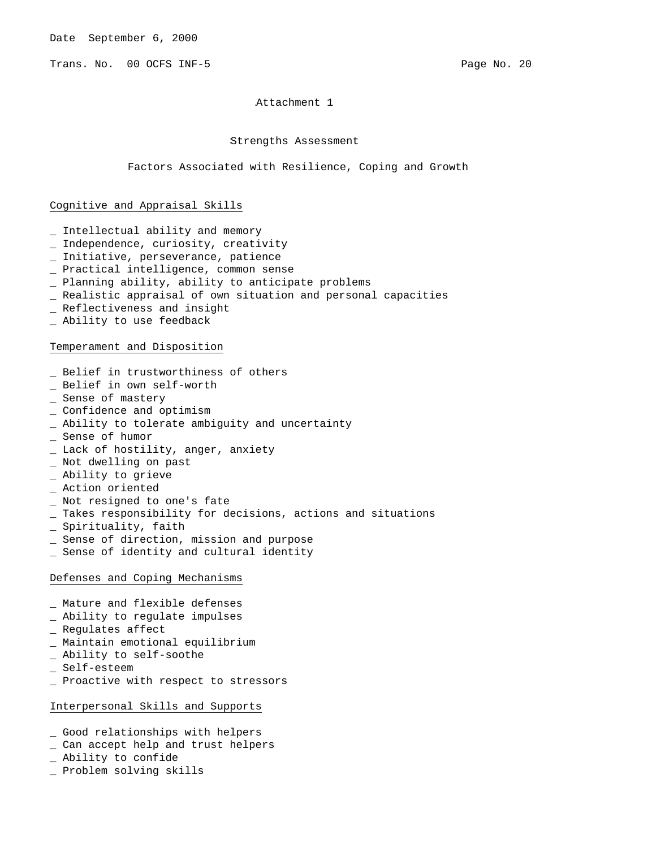Trans. No. 00 OCFS INF-5 Page No. 20 Page No. 20

Attachment 1

## Strengths Assessment

Factors Associated with Resilience, Coping and Growth

### Cognitive and Appraisal Skills

- \_ Intellectual ability and memory
- \_ Independence, curiosity, creativity
- \_ Initiative, perseverance, patience
- \_ Practical intelligence, common sense
- \_ Planning ability, ability to anticipate problems
- \_ Realistic appraisal of own situation and personal capacities
- \_ Reflectiveness and insight
- \_ Ability to use feedback

### Temperament and Disposition

- \_ Belief in trustworthiness of others
- \_ Belief in own self-worth
- \_ Sense of mastery
- \_ Confidence and optimism
- \_ Ability to tolerate ambiguity and uncertainty
- \_ Sense of humor
- \_ Lack of hostility, anger, anxiety
- \_ Not dwelling on past
- \_ Ability to grieve
- \_ Action oriented
- \_ Not resigned to one's fate
- \_ Takes responsibility for decisions, actions and situations
- \_ Spirituality, faith
- \_ Sense of direction, mission and purpose
- \_ Sense of identity and cultural identity

## Defenses and Coping Mechanisms

- \_ Mature and flexible defenses
- \_ Ability to regulate impulses
- \_ Regulates affect
- \_ Maintain emotional equilibrium
- \_ Ability to self-soothe
- \_ Self-esteem
- \_ Proactive with respect to stressors

# Interpersonal Skills and Supports

- \_ Good relationships with helpers
- \_ Can accept help and trust helpers
- \_ Ability to confide
- \_ Problem solving skills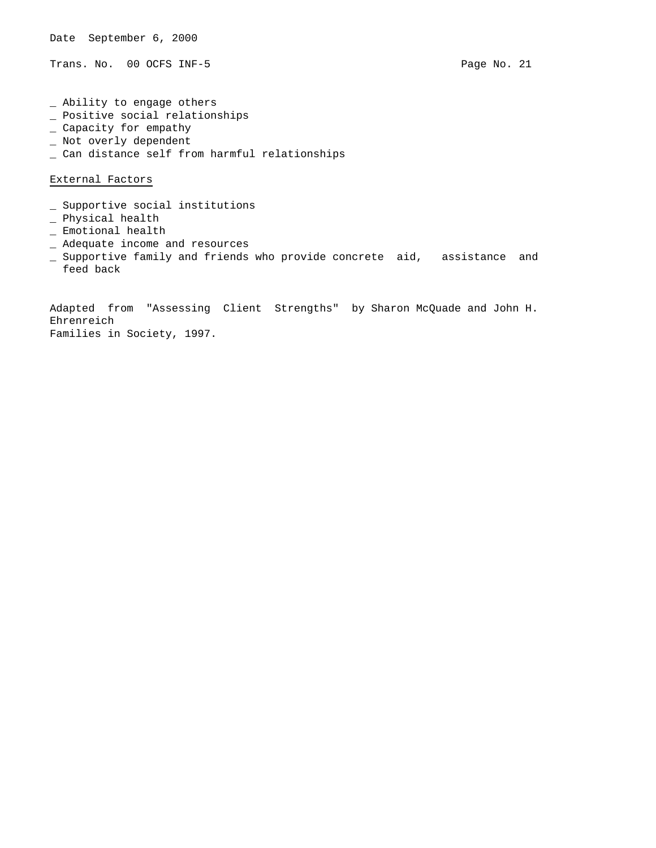Trans. No. 00 OCFS INF-5 Page No. 21

\_ Ability to engage others

- \_ Positive social relationships
- \_ Capacity for empathy
- \_ Not overly dependent
- \_ Can distance self from harmful relationships

External Factors

- \_ Supportive social institutions
- \_ Physical health
- \_ Emotional health
- \_ Adequate income and resources
- \_ Supportive family and friends who provide concrete aid, assistance and feed back

Adapted from "Assessing Client Strengths" by Sharon McQuade and John H. Ehrenreich Families in Society, 1997.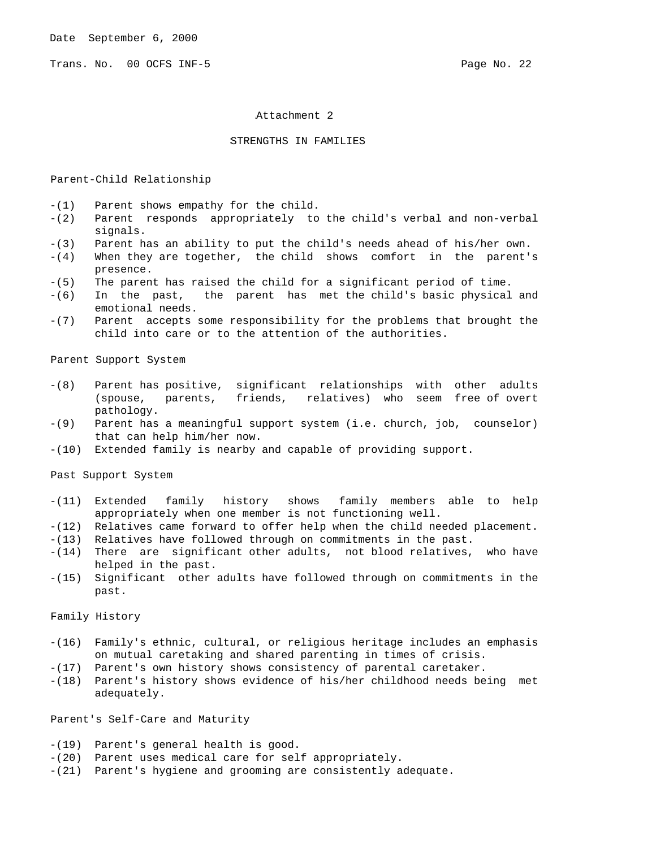Trans. No. 00 OCFS INF-5 **Page No. 22** 

### Attachment 2

## STRENGTHS IN FAMILIES

#### Parent-Child Relationship

- -(1) Parent shows empathy for the child.
- -(2) Parent responds appropriately to the child's verbal and non-verbal signals.
- -(3) Parent has an ability to put the child's needs ahead of his/her own.
- -(4) When they are together, the child shows comfort in the parent's presence.
- -(5) The parent has raised the child for a significant period of time.
- -(6) In the past, the parent has met the child's basic physical and emotional needs.
- -(7) Parent accepts some responsibility for the problems that brought the child into care or to the attention of the authorities.

Parent Support System

- -(8) Parent has positive, significant relationships with other adults (spouse, parents, friends, relatives) who seem free of overt pathology.
- -(9) Parent has a meaningful support system (i.e. church, job, counselor) that can help him/her now.
- -(10) Extended family is nearby and capable of providing support.

Past Support System

- -(11) Extended family history shows family members able to help appropriately when one member is not functioning well.
- -(12) Relatives came forward to offer help when the child needed placement.
- -(13) Relatives have followed through on commitments in the past.
- -(14) There are significant other adults, not blood relatives, who have helped in the past.
- -(15) Significant other adults have followed through on commitments in the past.

Family History

- -(16) Family's ethnic, cultural, or religious heritage includes an emphasis on mutual caretaking and shared parenting in times of crisis.
- -(17) Parent's own history shows consistency of parental caretaker.
- -(18) Parent's history shows evidence of his/her childhood needs being met adequately.

Parent's Self-Care and Maturity

- -(19) Parent's general health is good.
- -(20) Parent uses medical care for self appropriately.
- -(21) Parent's hygiene and grooming are consistently adequate.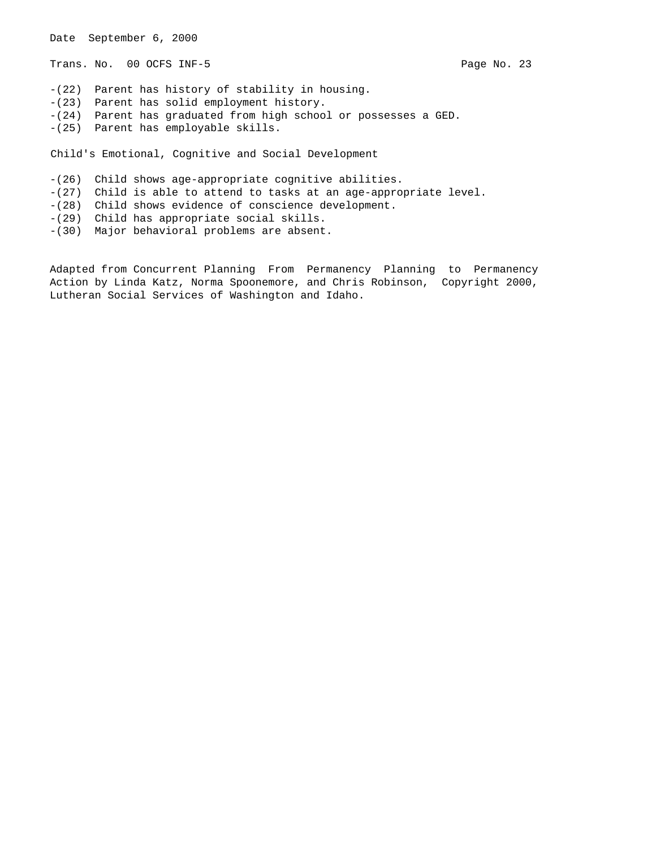Date September 6, 2000 Trans. No. 00 OCFS INF-5 Page No. 23 -(22) Parent has history of stability in housing. -(23) Parent has solid employment history. -(24) Parent has graduated from high school or possesses a GED. -(25) Parent has employable skills. Child's Emotional, Cognitive and Social Development -(26) Child shows age-appropriate cognitive abilities. -(27) Child is able to attend to tasks at an age-appropriate level. -(28) Child shows evidence of conscience development. -(29) Child has appropriate social skills. -(30) Major behavioral problems are absent.

Adapted from Concurrent Planning From Permanency Planning to Permanency Action by Linda Katz, Norma Spoonemore, and Chris Robinson, Copyright 2000, Lutheran Social Services of Washington and Idaho.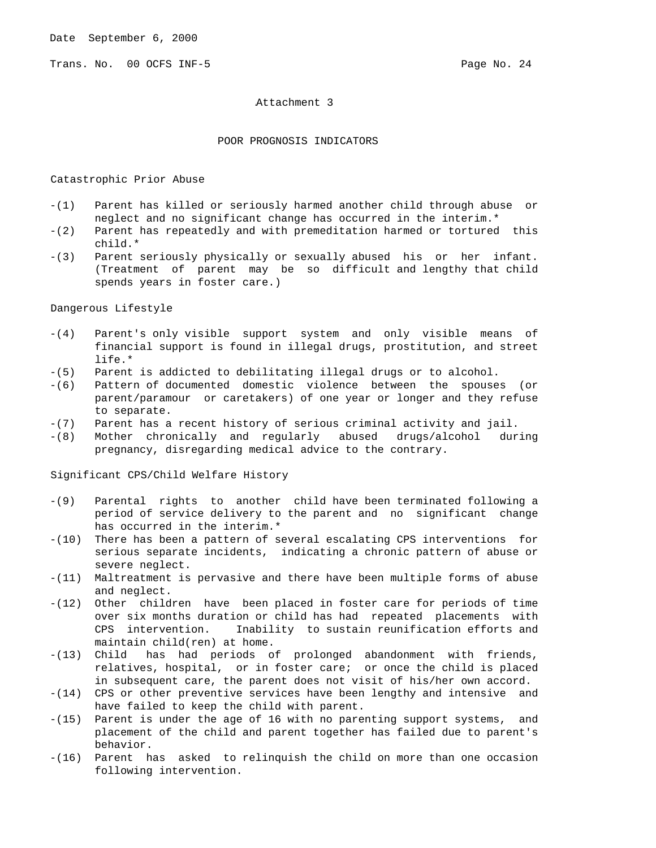Trans. No. 00 OCFS INF-5 **Page No. 24** Page No. 24

Attachment 3

## POOR PROGNOSIS INDICATORS

### Catastrophic Prior Abuse

- -(1) Parent has killed or seriously harmed another child through abuse or neglect and no significant change has occurred in the interim.\*
- -(2) Parent has repeatedly and with premeditation harmed or tortured this child.\*
- -(3) Parent seriously physically or sexually abused his or her infant. (Treatment of parent may be so difficult and lengthy that child spends years in foster care.)

Dangerous Lifestyle

- -(4) Parent's only visible support system and only visible means of financial support is found in illegal drugs, prostitution, and street life.\*
- -(5) Parent is addicted to debilitating illegal drugs or to alcohol.
- -(6) Pattern of documented domestic violence between the spouses (or parent/paramour or caretakers) of one year or longer and they refuse to separate.
- -(7) Parent has a recent history of serious criminal activity and jail.
- -(8) Mother chronically and regularly abused drugs/alcohol during pregnancy, disregarding medical advice to the contrary.

Significant CPS/Child Welfare History

- -(9) Parental rights to another child have been terminated following a period of service delivery to the parent and no significant change has occurred in the interim.\*
- -(10) There has been a pattern of several escalating CPS interventions for serious separate incidents, indicating a chronic pattern of abuse or severe neglect.
- -(11) Maltreatment is pervasive and there have been multiple forms of abuse and neglect.
- -(12) Other children have been placed in foster care for periods of time over six months duration or child has had repeated placements with CPS intervention. Inability to sustain reunification efforts and maintain child(ren) at home.
- -(13) Child has had periods of prolonged abandonment with friends, relatives, hospital, or in foster care; or once the child is placed in subsequent care, the parent does not visit of his/her own accord.
- -(14) CPS or other preventive services have been lengthy and intensive and have failed to keep the child with parent.
- -(15) Parent is under the age of 16 with no parenting support systems, and placement of the child and parent together has failed due to parent's behavior.
- -(16) Parent has asked to relinquish the child on more than one occasion following intervention.